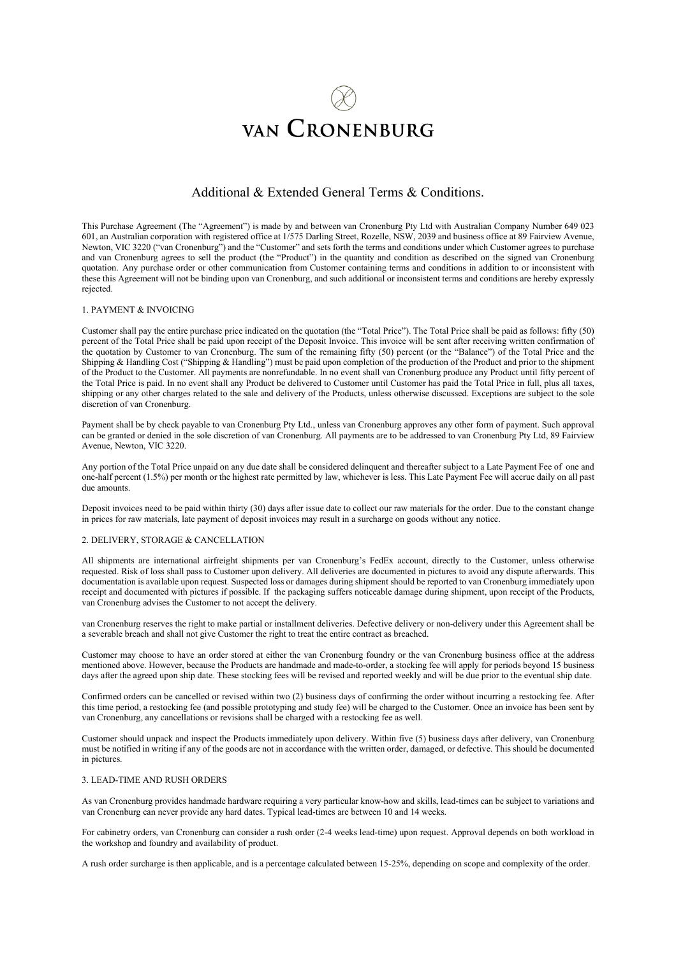# **VAN CRONENBURG**

# Additional & Extended General Terms & Conditions.

This Purchase Agreement (The "Agreement") is made by and between van Cronenburg Pty Ltd with Australian Company Number 649 023 601, an Australian corporation with registered office at 1/575 Darling Street, Rozelle, NSW, 2039 and business office at 89 Fairview Avenue, Newton, VIC 3220 ("van Cronenburg") and the "Customer" and sets forth the terms and conditions under which Customer agrees to purchase and van Cronenburg agrees to sell the product (the "Product") in the quantity and condition as described on the signed van Cronenburg quotation. Any purchase order or other communication from Customer containing terms and conditions in addition to or inconsistent with these this Agreement will not be binding upon van Cronenburg, and such additional or inconsistent terms and conditions are hereby expressly rejected.

# 1. PAYMENT & INVOICING

Customer shall pay the entire purchase price indicated on the quotation (the "Total Price"). The Total Price shall be paid as follows: fifty (50) percent of the Total Price shall be paid upon receipt of the Deposit Invoice. This invoice will be sent after receiving written confirmation of the quotation by Customer to van Cronenburg. The sum of the remaining fifty (50) percent (or the "Balance") of the Total Price and the Shipping & Handling Cost ("Shipping & Handling") must be paid upon completion of the production of the Product and prior to the shipment of the Product to the Customer. All payments are nonrefundable. In no event shall van Cronenburg produce any Product until fifty percent of the Total Price is paid. In no event shall any Product be delivered to Customer until Customer has paid the Total Price in full, plus all taxes, shipping or any other charges related to the sale and delivery of the Products, unless otherwise discussed. Exceptions are subject to the sole discretion of van Cronenburg.

Payment shall be by check payable to van Cronenburg Pty Ltd., unless van Cronenburg approves any other form of payment. Such approval can be granted or denied in the sole discretion of van Cronenburg. All payments are to be addressed to van Cronenburg Pty Ltd, 89 Fairview Avenue, Newton, VIC 3220.

Any portion of the Total Price unpaid on any due date shall be considered delinquent and thereafter subject to a Late Payment Fee of one and one-half percent (1.5%) per month or the highest rate permitted by law, whichever is less. This Late Payment Fee will accrue daily on all past due amounts.

Deposit invoices need to be paid within thirty (30) days after issue date to collect our raw materials for the order. Due to the constant change in prices for raw materials, late payment of deposit invoices may result in a surcharge on goods without any notice.

# 2. DELIVERY, STORAGE & CANCELLATION

All shipments are international airfreight shipments per van Cronenburg's FedEx account, directly to the Customer, unless otherwise requested. Risk of loss shall pass to Customer upon delivery. All deliveries are documented in pictures to avoid any dispute afterwards. This documentation is available upon request. Suspected loss or damages during shipment should be reported to van Cronenburg immediately upon receipt and documented with pictures if possible. If the packaging suffers noticeable damage during shipment, upon receipt of the Products, van Cronenburg advises the Customer to not accept the delivery.

van Cronenburg reserves the right to make partial or installment deliveries. Defective delivery or non-delivery under this Agreement shall be a severable breach and shall not give Customer the right to treat the entire contract as breached.

Customer may choose to have an order stored at either the van Cronenburg foundry or the van Cronenburg business office at the address mentioned above. However, because the Products are handmade and made-to-order, a stocking fee will apply for periods beyond 15 business days after the agreed upon ship date. These stocking fees will be revised and reported weekly and will be due prior to the eventual ship date.

Confirmed orders can be cancelled or revised within two (2) business days of confirming the order without incurring a restocking fee. After this time period, a restocking fee (and possible prototyping and study fee) will be charged to the Customer. Once an invoice has been sent by van Cronenburg, any cancellations or revisions shall be charged with a restocking fee as well.

Customer should unpack and inspect the Products immediately upon delivery. Within five (5) business days after delivery, van Cronenburg must be notified in writing if any of the goods are not in accordance with the written order, damaged, or defective. This should be documented in pictures.

# 3. LEAD-TIME AND RUSH ORDERS

As van Cronenburg provides handmade hardware requiring a very particular know-how and skills, lead-times can be subject to variations and van Cronenburg can never provide any hard dates. Typical lead-times are between 10 and 14 weeks.

For cabinetry orders, van Cronenburg can consider a rush order (2-4 weeks lead-time) upon request. Approval depends on both workload in the workshop and foundry and availability of product.

A rush order surcharge is then applicable, and is a percentage calculated between 15-25%, depending on scope and complexity of the order.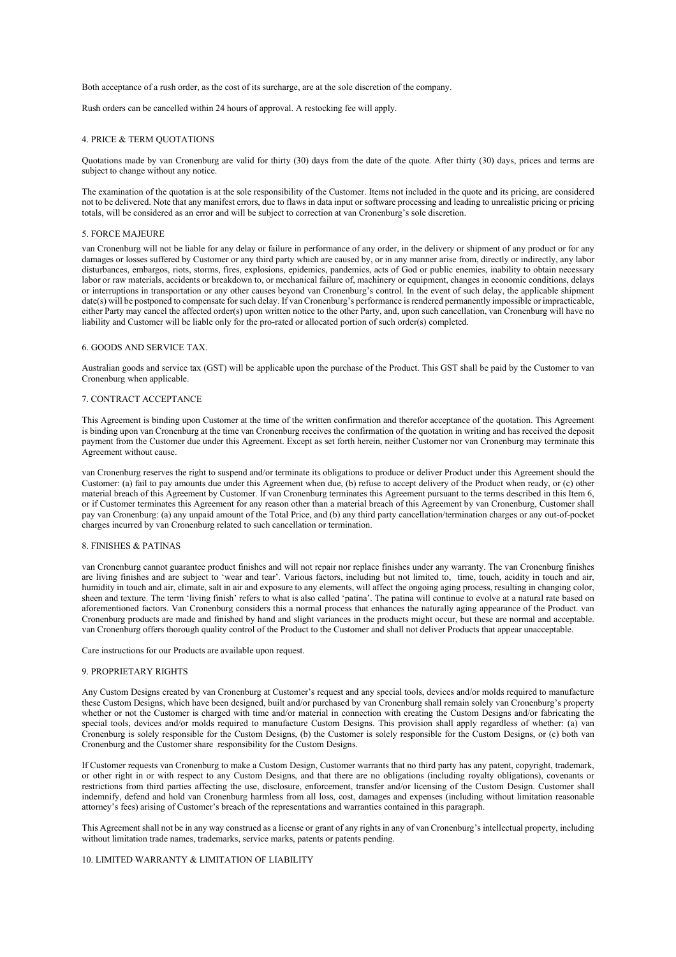Both acceptance of a rush order, as the cost of its surcharge, are at the sole discretion of the company.

Rush orders can be cancelled within 24 hours of approval. A restocking fee will apply.

#### 4. PRICE & TERM QUOTATIONS

Quotations made by van Cronenburg are valid for thirty (30) days from the date of the quote. After thirty (30) days, prices and terms are subject to change without any notice.

The examination of the quotation is at the sole responsibility of the Customer. Items not included in the quote and its pricing, are considered not to be delivered. Note that any manifest errors, due to flaws in data input or software processing and leading to unrealistic pricing or pricing totals, will be considered as an error and will be subject to correction at van Cronenburg's sole discretion.

# 5. FORCE MAJEURE

van Cronenburg will not be liable for any delay or failure in performance of any order, in the delivery or shipment of any product or for any damages or losses suffered by Customer or any third party which are caused by, or in any manner arise from, directly or indirectly, any labor disturbances, embargos, riots, storms, fires, explosions, epidemics, pandemics, acts of God or public enemies, inability to obtain necessary labor or raw materials, accidents or breakdown to, or mechanical failure of, machinery or equipment, changes in economic conditions, delays or interruptions in transportation or any other causes beyond van Cronenburg's control. In the event of such delay, the applicable shipment date(s) will be postponed to compensate for such delay. If van Cronenburg's performance is rendered permanently impossible or impracticable, either Party may cancel the affected order(s) upon written notice to the other Party, and, upon such cancellation, van Cronenburg will have no liability and Customer will be liable only for the pro-rated or allocated portion of such order(s) completed.

#### 6. GOODS AND SERVICE TAX.

Australian goods and service tax (GST) will be applicable upon the purchase of the Product. This GST shall be paid by the Customer to van Cronenburg when applicable.

#### 7. CONTRACT ACCEPTANCE

This Agreement is binding upon Customer at the time of the written confirmation and therefor acceptance of the quotation. This Agreement is binding upon van Cronenburg at the time van Cronenburg receives the confirmation of the quotation in writing and has received the deposit payment from the Customer due under this Agreement. Except as set forth herein, neither Customer nor van Cronenburg may terminate this Agreement without cause.

van Cronenburg reserves the right to suspend and/or terminate its obligations to produce or deliver Product under this Agreement should the Customer: (a) fail to pay amounts due under this Agreement when due, (b) refuse to accept delivery of the Product when ready, or (c) other material breach of this Agreement by Customer. If van Cronenburg terminates this Agreement pursuant to the terms described in this Item 6, or if Customer terminates this Agreement for any reason other than a material breach of this Agreement by van Cronenburg, Customer shall pay van Cronenburg: (a) any unpaid amount of the Total Price, and (b) any third party cancellation/termination charges or any out-of-pocket charges incurred by van Cronenburg related to such cancellation or termination.

# 8. FINISHES & PATINAS

van Cronenburg cannot guarantee product finishes and will not repair nor replace finishes under any warranty. The van Cronenburg finishes are living finishes and are subject to 'wear and tear'. Various factors, including but not limited to, time, touch, acidity in touch and air, humidity in touch and air, climate, salt in air and exposure to any elements, will affect the ongoing aging process, resulting in changing color, sheen and texture. The term 'living finish' refers to what is also called 'patina'. The patina will continue to evolve at a natural rate based on aforementioned factors. Van Cronenburg considers this a normal process that enhances the naturally aging appearance of the Product. van Cronenburg products are made and finished by hand and slight variances in the products might occur, but these are normal and acceptable. van Cronenburg offers thorough quality control of the Product to the Customer and shall not deliver Products that appear unacceptable.

Care instructions for our Products are available upon request.

#### 9. PROPRIETARY RIGHTS

Any Custom Designs created by van Cronenburg at Customer's request and any special tools, devices and/or molds required to manufacture these Custom Designs, which have been designed, built and/or purchased by van Cronenburg shall remain solely van Cronenburg's property whether or not the Customer is charged with time and/or material in connection with creating the Custom Designs and/or fabricating the special tools, devices and/or molds required to manufacture Custom Designs. This provision shall apply regardless of whether: (a) van Cronenburg is solely responsible for the Custom Designs, (b) the Customer is solely responsible for the Custom Designs, or (c) both van Cronenburg and the Customer share responsibility for the Custom Designs.

If Customer requests van Cronenburg to make a Custom Design, Customer warrants that no third party has any patent, copyright, trademark, or other right in or with respect to any Custom Designs, and that there are no obligations (including royalty obligations), covenants or restrictions from third parties affecting the use, disclosure, enforcement, transfer and/or licensing of the Custom Design. Customer shall indemnify, defend and hold van Cronenburg harmless from all loss, cost, damages and expenses (including without limitation reasonable attorney's fees) arising of Customer's breach of the representations and warranties contained in this paragraph.

This Agreement shall not be in any way construed as a license or grant of any rights in any of van Cronenburg's intellectual property, including without limitation trade names, trademarks, service marks, patents or patents pending.

# 10. LIMITED WARRANTY & LIMITATION OF LIABILITY